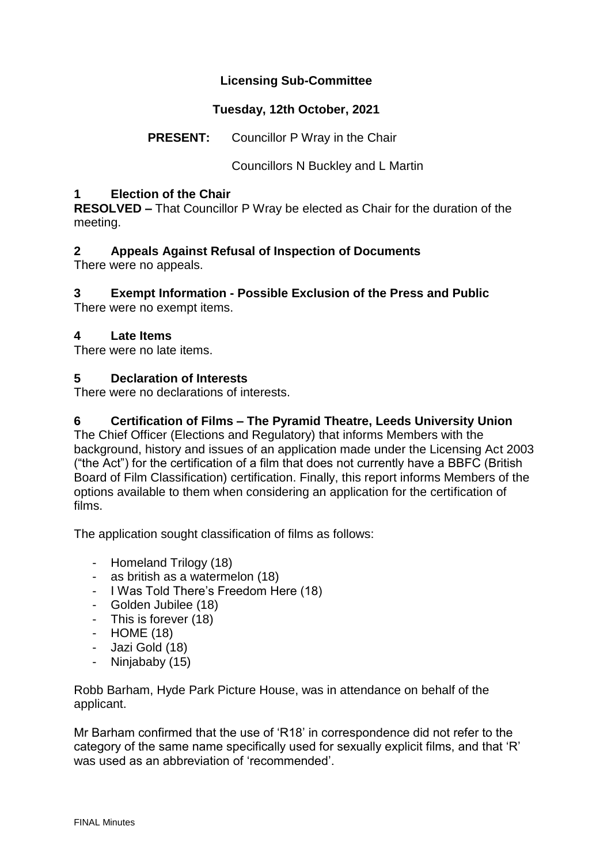# **Licensing Sub-Committee**

# **Tuesday, 12th October, 2021**

**PRESENT:** Councillor P Wray in the Chair

Councillors N Buckley and L Martin

## **1 Election of the Chair**

**RESOLVED –** That Councillor P Wray be elected as Chair for the duration of the meeting.

# **2 Appeals Against Refusal of Inspection of Documents**

There were no appeals.

# **3 Exempt Information - Possible Exclusion of the Press and Public**

There were no exempt items.

## **4 Late Items**

There were no late items.

## **5 Declaration of Interests**

There were no declarations of interests.

# **6 Certification of Films – The Pyramid Theatre, Leeds University Union**

The Chief Officer (Elections and Regulatory) that informs Members with the background, history and issues of an application made under the Licensing Act 2003 ("the Act") for the certification of a film that does not currently have a BBFC (British Board of Film Classification) certification. Finally, this report informs Members of the options available to them when considering an application for the certification of films.

The application sought classification of films as follows:

- Homeland Trilogy (18)
- as british as a watermelon (18)
- I Was Told There's Freedom Here (18)
- Golden Jubilee (18)
- This is forever (18)
- HOME (18)
- Jazi Gold (18)
- Ninjababy (15)

Robb Barham, Hyde Park Picture House, was in attendance on behalf of the applicant.

Mr Barham confirmed that the use of 'R18' in correspondence did not refer to the category of the same name specifically used for sexually explicit films, and that 'R' was used as an abbreviation of 'recommended'.